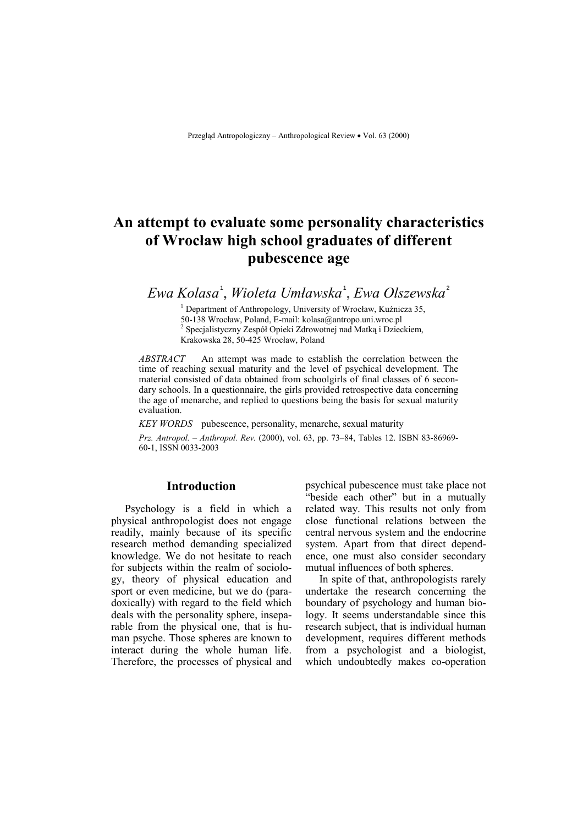# **An attempt to evaluate some personality characteristics of Wrocław high school graduates of different pubescence age**

*Ewa Kolasa* <sup>1</sup> , *Wioleta Umławska* <sup>1</sup> , *Ewa Olszewska* <sup>2</sup>

1 <sup>1</sup> Department of Anthropology, University of Wrocław, Kuźnicza 35, 50-138 Wrocław, Poland, E-mail: kolasa@antropo.uni.wroc.pl 50-138 Wrocław, Poland, E-mail: kolasa@antropo.uni.wroc.pl<br><sup>2</sup> Specjalistyczny Zespół Opieki Zdrowotnej nad Matką i Dzieckiem, Krakowska 28, 50-425 Wrocław, Poland

*ABSTRACT* An attempt was made to establish the correlation between the time of reaching sexual maturity and the level of psychical development. The material consisted of data obtained from schoolgirls of final classes of 6 secondary schools. In a questionnaire, the girls provided retrospective data concerning the age of menarche, and replied to questions being the basis for sexual maturity evaluation.

*KEY WORDS* pubescence, personality, menarche, sexual maturity

*Prz. Antropol. – Anthropol. Rev.* (2000), vol. 63, pp. 73–84, Tables 12. ISBN 83-86969-60-1, ISSN 0033-2003

### **Introduction**

Psychology is a field in which a physical anthropologist does not engage readily, mainly because of its specific research method demanding specialized knowledge. We do not hesitate to reach for subjects within the realm of sociology, theory of physical education and sport or even medicine, but we do (paradoxically) with regard to the field which deals with the personality sphere, inseparable from the physical one, that is human psyche. Those spheres are known to interact during the whole human life. Therefore, the processes of physical and psychical pubescence must take place not "beside each other" but in a mutually related way. This results not only from close functional relations between the central nervous system and the endocrine system. Apart from that direct dependence, one must also consider secondary mutual influences of both spheres.

In spite of that, anthropologists rarely undertake the research concerning the boundary of psychology and human biology. It seems understandable since this research subject, that is individual human development, requires different methods from a psychologist and a biologist, which undoubtedly makes co-operation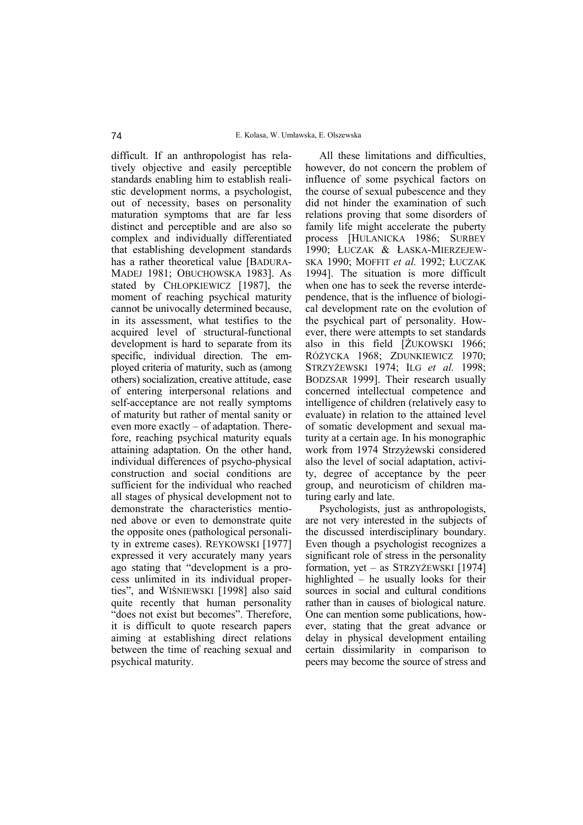difficult. If an anthropologist has relatively objective and easily perceptible standards enabling him to establish realistic development norms, a psychologist, out of necessity, bases on personality maturation symptoms that are far less distinct and perceptible and are also so complex and individually differentiated that establishing development standards has a rather theoretical value [BADURA-MADEJ 1981; OBUCHOWSKA 1983]. As stated by CHŁOPKIEWICZ [1987], the moment of reaching psychical maturity cannot be univocally determined because, in its assessment, what testifies to the acquired level of structural-functional development is hard to separate from its specific, individual direction. The employed criteria of maturity, such as (among others) socialization, creative attitude, ease of entering interpersonal relations and self-acceptance are not really symptoms of maturity but rather of mental sanity or even more exactly  $-$  of adaptation. Therefore, reaching psychical maturity equals attaining adaptation. On the other hand, individual differences of psycho-physical construction and social conditions are sufficient for the individual who reached all stages of physical development not to demonstrate the characteristics mentioned above or even to demonstrate quite the opposite ones (pathological personality in extreme cases). REYKOWSKI [1977] expressed it very accurately many years ago stating that "development is a process unlimited in its individual properties", and WIŚNIEWSKI [1998] also said quite recently that human personality "does not exist but becomes". Therefore, it is difficult to quote research papers aiming at establishing direct relations between the time of reaching sexual and psychical maturity.

All these limitations and difficulties, however, do not concern the problem of influence of some psychical factors on the course of sexual pubescence and they did not hinder the examination of such relations proving that some disorders of family life might accelerate the puberty process [HULANICKA 1986; SURBEY 1990; ŁUCZAK & ŁASKA-MIERZEJEW-SKA 1990; MOFFIT *et al.* 1992; ŁUCZAK 1994]. The situation is more difficult when one has to seek the reverse interdependence, that is the influence of biological development rate on the evolution of the psychical part of personality. However, there were attempts to set standards also in this field [ŻUKOWSKI 1966; RÓŻYCKA 1968; ZDUNKIEWICZ 1970; STRZYŻEWSKI 1974; ILG *et al.* 1998; BODZSAR 1999]. Their research usually concerned intellectual competence and intelligence of children (relatively easy to evaluate) in relation to the attained level of somatic development and sexual maturity at a certain age. In his monographic work from 1974 Strzyżewski considered also the level of social adaptation, activity, degree of acceptance by the peer group, and neuroticism of children maturing early and late.

Psychologists, just as anthropologists, are not very interested in the subjects of the discussed interdisciplinary boundary. Even though a psychologist recognizes a significant role of stress in the personality formation, yet – as  $STRZYZEWSKI$  [1974] highlighted  $-$  he usually looks for their sources in social and cultural conditions rather than in causes of biological nature. One can mention some publications, however, stating that the great advance or delay in physical development entailing certain dissimilarity in comparison to peers may become the source of stress and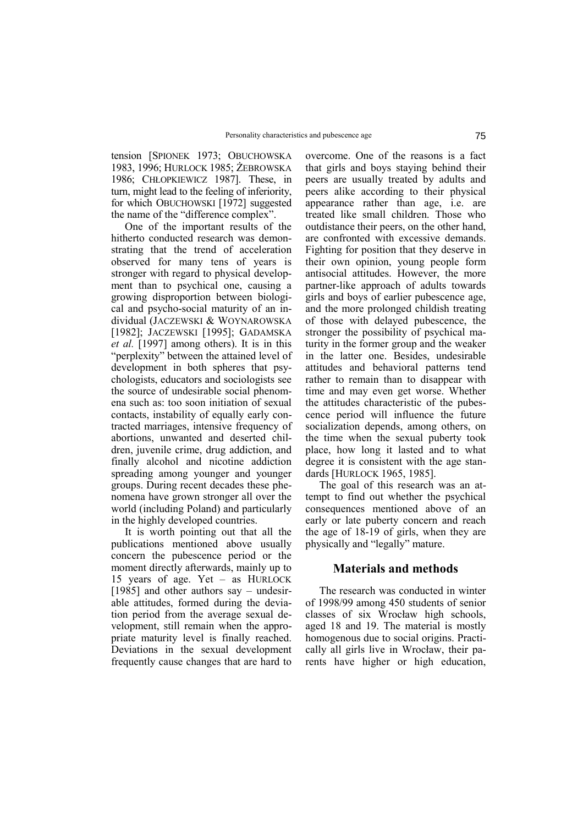tension [SPIONEK 1973; OBUCHOWSKA 1983, 1996; HURLOCK 1985; ŻEBROWSKA 1986; CHŁOPKIEWICZ 1987]. These, in turn, might lead to the feeling of inferiority, for which OBUCHOWSKI [1972] suggested the name of the "difference complex".

One of the important results of the hitherto conducted research was demonstrating that the trend of acceleration observed for many tens of years is stronger with regard to physical development than to psychical one, causing a growing disproportion between biological and psycho-social maturity of an individual (JACZEWSKI & WOYNAROWSKA [1982]; JACZEWSKI [1995]; GADAMSKA *et al.* [1997] among others). It is in this "perplexity" between the attained level of development in both spheres that psychologists, educators and sociologists see the source of undesirable social phenomena such as: too soon initiation of sexual contacts, instability of equally early contracted marriages, intensive frequency of abortions, unwanted and deserted children, juvenile crime, drug addiction, and finally alcohol and nicotine addiction spreading among younger and younger groups. During recent decades these phenomena have grown stronger all over the world (including Poland) and particularly in the highly developed countries.

It is worth pointing out that all the publications mentioned above usually concern the pubescence period or the moment directly afterwards, mainly up to 15 years of age. Yet  $-$  as HURLOCK [1985] and other authors say – undesirable attitudes, formed during the deviation period from the average sexual development, still remain when the appropriate maturity level is finally reached. Deviations in the sexual development frequently cause changes that are hard to overcome. One of the reasons is a fact that girls and boys staying behind their peers are usually treated by adults and peers alike according to their physical appearance rather than age, i.e. are treated like small children. Those who outdistance their peers, on the other hand, are confronted with excessive demands. Fighting for position that they deserve in their own opinion, young people form antisocial attitudes. However, the more partner-like approach of adults towards girls and boys of earlier pubescence age, and the more prolonged childish treating of those with delayed pubescence, the stronger the possibility of psychical maturity in the former group and the weaker in the latter one. Besides, undesirable attitudes and behavioral patterns tend rather to remain than to disappear with time and may even get worse. Whether the attitudes characteristic of the pubescence period will influence the future socialization depends, among others, on the time when the sexual puberty took place, how long it lasted and to what degree it is consistent with the age standards [HURLOCK 1965, 1985].

The goal of this research was an attempt to find out whether the psychical consequences mentioned above of an early or late puberty concern and reach the age of 18-19 of girls, when they are physically and "legally" mature.

## **Materials and methods**

The research was conducted in winter of 1998/99 among 450 students of senior classes of six Wrocław high schools, aged 18 and 19. The material is mostly homogenous due to social origins. Practically all girls live in Wrocław, their parents have higher or high education,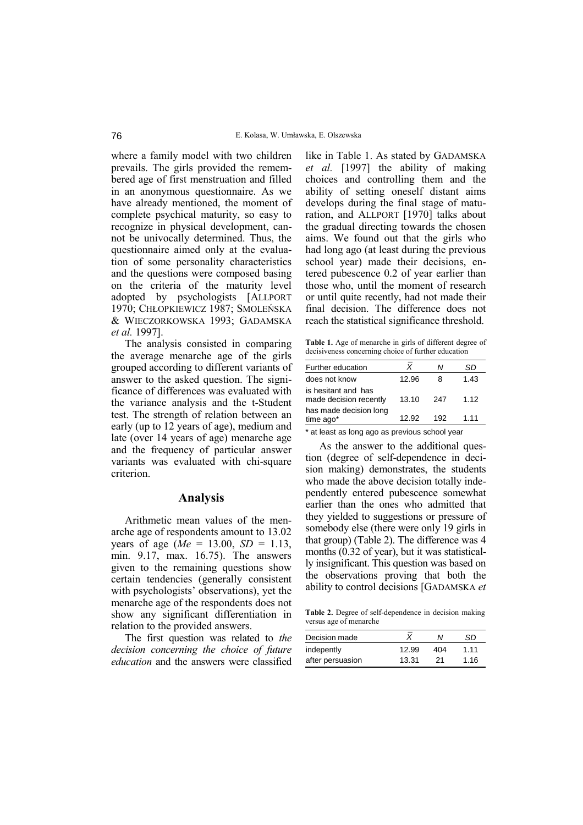where a family model with two children prevails. The girls provided the remembered age of first menstruation and filled in an anonymous questionnaire. As we have already mentioned, the moment of complete psychical maturity, so easy to recognize in physical development, cannot be univocally determined. Thus, the questionnaire aimed only at the evaluation of some personality characteristics and the questions were composed basing on the criteria of the maturity level adopted by psychologists [ALLPORT 1970; CHŁOPKIEWICZ 1987; SMOLEŃSKA & WIECZORKOWSKA 1993; GADAMSKA *et al.* 1997].

The analysis consisted in comparing the average menarche age of the girls grouped according to different variants of answer to the asked question. The significance of differences was evaluated with the variance analysis and the t-Student test. The strength of relation between an early (up to 12 years of age), medium and late (over 14 years of age) menarche age and the frequency of particular answer variants was evaluated with chi-square criterion.

#### **Analysis**

Arithmetic mean values of the menarche age of respondents amount to 13.02 years of age (*Me* = 13.00, *SD* = 1.13, min. 9.17, max. 16.75). The answers given to the remaining questions show certain tendencies (generally consistent with psychologists' observations), yet the menarche age of the respondents does not show any significant differentiation in relation to the provided answers.

The first question was related to *the decision concerning the choice of future education* and the answers were classified like in Table 1. As stated by GADAMSKA *et al.* [1997] the ability of making choices and controlling them and the ability of setting oneself distant aims develops during the final stage of maturation, and ALLPORT [1970] talks about the gradual directing towards the chosen aims. We found out that the girls who had long ago (at least during the previous school year) made their decisions, entered pubescence 0.2 of year earlier than those who, until the moment of research or until quite recently, had not made their final decision. The difference does not reach the statistical significance threshold.

**Table 1.** Age of menarche in girls of different degree of decisiveness concerning choice of further education \_

| Further education                             |       | Ν   | SD.   |
|-----------------------------------------------|-------|-----|-------|
| does not know                                 | 12.96 | 8   | 1.43  |
| is hesitant and has<br>made decision recently | 13.10 | 247 | 1.12  |
| has made decision long<br>time ago*           | 12.92 | 192 | 1 1 1 |

\* at least as long ago as previous school year

As the answer to the additional question (degree of self-dependence in decision making) demonstrates, the students who made the above decision totally independently entered pubescence somewhat earlier than the ones who admitted that they yielded to suggestions or pressure of somebody else (there were only 19 girls in that group) (Table 2). The difference was 4 months (0.32 of year), but it was statistically insignificant. This question was based on the observations proving that both the ability to control decisions [GADAMSKA *et*

**Table 2.** Degree of self-dependence in decision making versus age of menarche

| Decision made    |       | Ν   | SD.  |
|------------------|-------|-----|------|
| indepently       | 12.99 | 404 | 1.11 |
| after persuasion | 13.31 | 21  | 1.16 |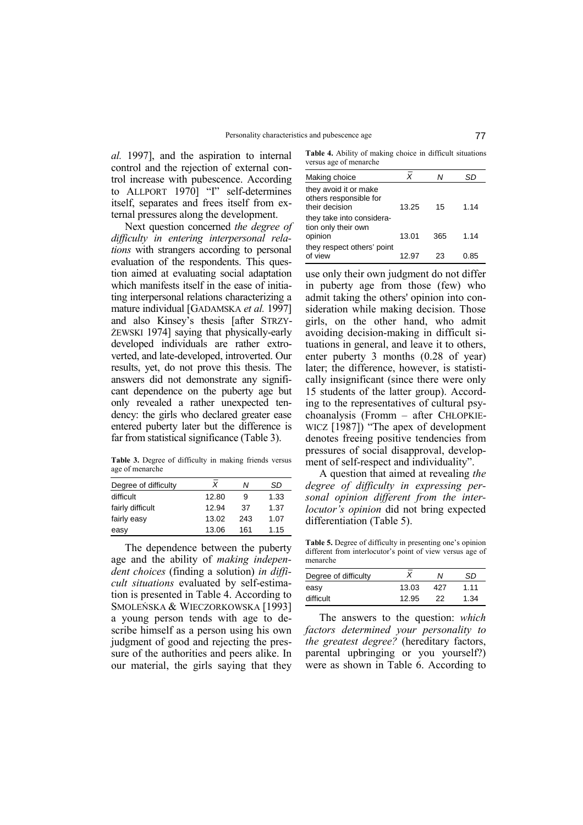*al.* 1997], and the aspiration to internal control and the rejection of external control increase with pubescence. According to ALLPORT  $1970$ ] "I" self-determines itself, separates and frees itself from external pressures along the development.

Next question concerned *the degree of difficulty in entering interpersonal relations* with strangers according to personal evaluation of the respondents. This question aimed at evaluating social adaptation which manifests itself in the ease of initiating interpersonal relations characterizing a mature individual [GADAMSKA *et al.* 1997] and also Kinsey's thesis [after STRZY-ŻEWSKI 1974] saying that physically-early developed individuals are rather extroverted, and late-developed, introverted. Our results, yet, do not prove this thesis. The answers did not demonstrate any significant dependence on the puberty age but only revealed a rather unexpected tendency: the girls who declared greater ease entered puberty later but the difference is far from statistical significance (Table 3).

**Table 3.** Degree of difficulty in making friends versus age of menarche \_

| Degree of difficulty | Χ     | Ν   | SD   |
|----------------------|-------|-----|------|
| difficult            | 12.80 | 9   | 1.33 |
| fairly difficult     | 12.94 | 37  | 1.37 |
| fairly easy          | 13.02 | 243 | 1.07 |
| easy                 | 13.06 | 161 | 1.15 |

The dependence between the puberty age and the ability of *making independent choices* (finding a solution) *in difficult situations* evaluated by self-estimation is presented in Table 4. According to SMOLEŃSKA & WIECZORKOWSKA [1993] a young person tends with age to describe himself as a person using his own judgment of good and rejecting the pressure of the authorities and peers alike. In our material, the girls saying that they

**Table 4.** Ability of making choice in difficult situations versus age of menarche

| Making choice                                                     | X     | Ν   | SD   |
|-------------------------------------------------------------------|-------|-----|------|
| they avoid it or make<br>others responsible for<br>their decision | 13.25 | 15  | 1.14 |
| they take into considera-<br>tion only their own<br>opinion       | 13.01 | 365 | 1.14 |
| they respect others' point<br>of view                             | 12.97 | 23  | 0.85 |

use only their own judgment do not differ in puberty age from those (few) who admit taking the others' opinion into consideration while making decision. Those girls, on the other hand, who admit avoiding decision-making in difficult situations in general, and leave it to others, enter puberty 3 months (0.28 of year) later; the difference, however, is statistically insignificant (since there were only 15 students of the latter group). According to the representatives of cultural psy $choanalysis$  (Fromm  $-$  after CHŁOPKIE- $WICZ$  [1987]) "The apex of development denotes freeing positive tendencies from pressures of social disapproval, development of self-respect and individuality".

A question that aimed at revealing *the degree of difficulty in expressing personal opinion different from the interlocutor's opinion* did not bring expected differentiation (Table 5).

Table 5. Degree of difficulty in presenting one's opinion different from interlocutor's point of view versus age of menarche

| Degree of difficulty |       | Ν   | SD   |
|----------------------|-------|-----|------|
| easy                 | 13.03 | 427 | 1.11 |
| difficult            | 12.95 | 22  | 1.34 |

The answers to the question: *which factors determined your personality to the greatest degree?* (hereditary factors, parental upbringing or you yourself?) were as shown in Table 6. According to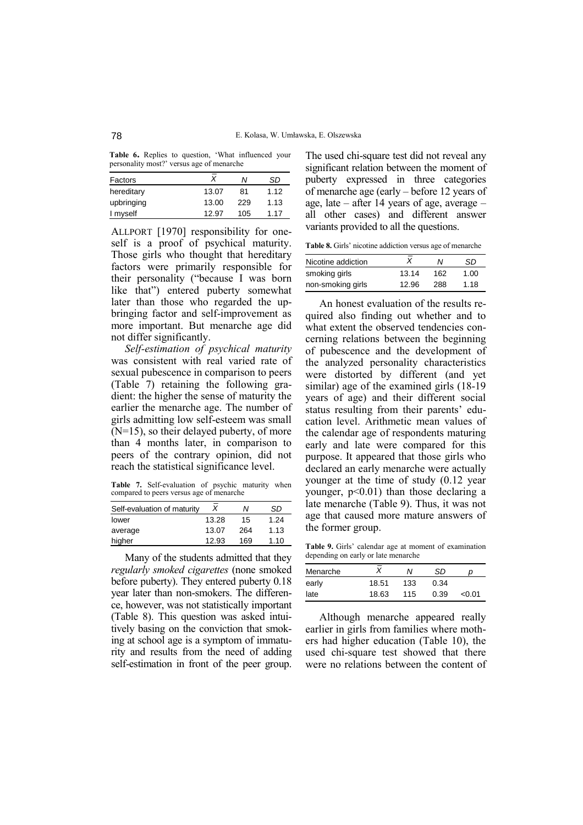Table 6. Replies to question, 'What influenced your personality most?' versus age of menarche

| Factors    |       | Ν   | SD   |
|------------|-------|-----|------|
| hereditary | 13.07 | 81  | 1.12 |
| upbringing | 13.00 | 229 | 1.13 |
| I myself   | 12.97 | 105 | 1.17 |
|            |       |     |      |

ALLPORT [1970] responsibility for oneself is a proof of psychical maturity. Those girls who thought that hereditary factors were primarily responsible for their personality ("because I was born like that") entered puberty somewhat later than those who regarded the upbringing factor and self-improvement as more important. But menarche age did not differ significantly.

*Self-estimation of psychical maturity* was consistent with real varied rate of sexual pubescence in comparison to peers (Table 7) retaining the following gradient: the higher the sense of maturity the earlier the menarche age. The number of girls admitting low self-esteem was small (N=15), so their delayed puberty, of more than 4 months later, in comparison to peers of the contrary opinion, did not reach the statistical significance level.

**Table 7.** Self-evaluation of psychic maturity when compared to peers versus age of menarche \_

| Self-evaluation of maturity |       | Ν   | SD   |
|-----------------------------|-------|-----|------|
| lower                       | 13.28 | 15  | 1.24 |
| average                     | 13.07 | 264 | 1.13 |
| higher                      | 12.93 | 169 | 1.10 |

Many of the students admitted that they *regularly smoked cigarettes* (none smoked before puberty). They entered puberty 0.18 year later than non-smokers. The difference, however, was not statistically important (Table 8). This question was asked intuitively basing on the conviction that smoking at school age is a symptom of immaturity and results from the need of adding self-estimation in front of the peer group. The used chi-square test did not reveal any significant relation between the moment of puberty expressed in three categories of menarche age (early – before 12 years of age, late  $-$  after 14 years of age, average  $$ all other cases) and different answer variants provided to all the questions.

Table 8. Girls' nicotine addiction versus age of menarche

| Nicotine addiction |       | N   | SD.  |
|--------------------|-------|-----|------|
| smoking girls      | 13.14 | 162 | 1.00 |
| non-smoking girls  | 12.96 | 288 | 1.18 |

An honest evaluation of the results required also finding out whether and to what extent the observed tendencies concerning relations between the beginning of pubescence and the development of the analyzed personality characteristics were distorted by different (and yet similar) age of the examined girls (18-19 years of age) and their different social status resulting from their parents' education level. Arithmetic mean values of the calendar age of respondents maturing early and late were compared for this purpose. It appeared that those girls who declared an early menarche were actually younger at the time of study (0.12 year younger,  $p<0.01$ ) than those declaring a late menarche (Table 9). Thus, it was not age that caused more mature answers of the former group.

Table 9. Girls' calendar age at moment of examination depending on early or late menarche

| Menarche | -<br>X | Ν   | SD.  | D      |  |
|----------|--------|-----|------|--------|--|
| early    | 18.51  | 133 | 0.34 |        |  |
| late     | 18.63  | 115 | 0.39 | < 0.01 |  |

Although menarche appeared really earlier in girls from families where mothers had higher education (Table 10), the used chi-square test showed that there were no relations between the content of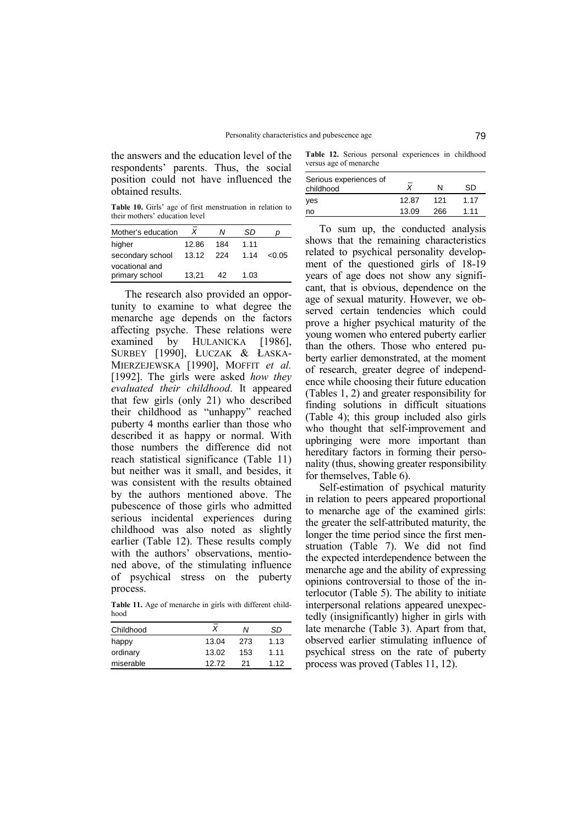the answers and the education level of the respondents' parents. Thus, the social position could not have influenced the obtained results.

**Table 10.** Girlsí age of first menstruation in relation to their mothers' education level

| Mother's education | X     | Ν     | SD.  | D      |
|--------------------|-------|-------|------|--------|
| higher             | 12.86 | 184   | 1.11 |        |
| secondary school   | 13.12 | - 224 | 1.14 | < 0.05 |
| vocational and     |       |       |      |        |
| primary school     | 13.21 | 42    | 1.03 |        |

The research also provided an opportunity to examine to what degree the menarche age depends on the factors affecting psyche. These relations were examined by HULANICKA [1986], SURBEY [1990], ŁUCZAK & ŁASKA-MIERZEJEWSKA [1990], MOFFIT *et al.* [1992]. The girls were asked *how they evaluated their childhood*. It appeared that few girls (only 21) who described their childhood as "unhappy" reached puberty 4 months earlier than those who described it as happy or normal. With those numbers the difference did not reach statistical significance (Table 11) but neither was it small, and besides, it was consistent with the results obtained by the authors mentioned above. The pubescence of those girls who admitted serious incidental experiences during childhood was also noted as slightly earlier (Table 12). These results comply with the authors' observations, mentioned above, of the stimulating influence of psychical stress on the puberty process.

**Table 11.** Age of menarche in girls with different childhood

| Childhood | Χ     | N   | SD   |
|-----------|-------|-----|------|
| happy     | 13.04 | 273 | 1.13 |
| ordinary  | 13.02 | 153 | 1.11 |
| miserable | 12.72 | 21  | 1.12 |

**Table 12.** Serious personal experiences in childhood versus age of menarche

| Serious experiences of<br>childhood |       | N   | SD   |
|-------------------------------------|-------|-----|------|
| yes                                 | 12.87 | 121 | 1.17 |
| no                                  | 13.09 | 266 | 1.11 |

To sum up, the conducted analysis shows that the remaining characteristics related to psychical personality development of the questioned girls of 18-19 years of age does not show any significant, that is obvious, dependence on the age of sexual maturity. However, we observed certain tendencies which could prove a higher psychical maturity of the young women who entered puberty earlier than the others. Those who entered puberty earlier demonstrated, at the moment of research, greater degree of independence while choosing their future education (Tables 1, 2) and greater responsibility for finding solutions in difficult situations (Table 4); this group included also girls who thought that self-improvement and upbringing were more important than hereditary factors in forming their personality (thus, showing greater responsibility for themselves, Table 6).

Self-estimation of psychical maturity in relation to peers appeared proportional to menarche age of the examined girls: the greater the self-attributed maturity, the longer the time period since the first menstruation (Table 7). We did not find the expected interdependence between the menarche age and the ability of expressing opinions controversial to those of the interlocutor (Table 5). The ability to initiate interpersonal relations appeared unexpectedly (insignificantly) higher in girls with late menarche (Table 3). Apart from that, observed earlier stimulating influence of psychical stress on the rate of puberty process was proved (Tables 11, 12).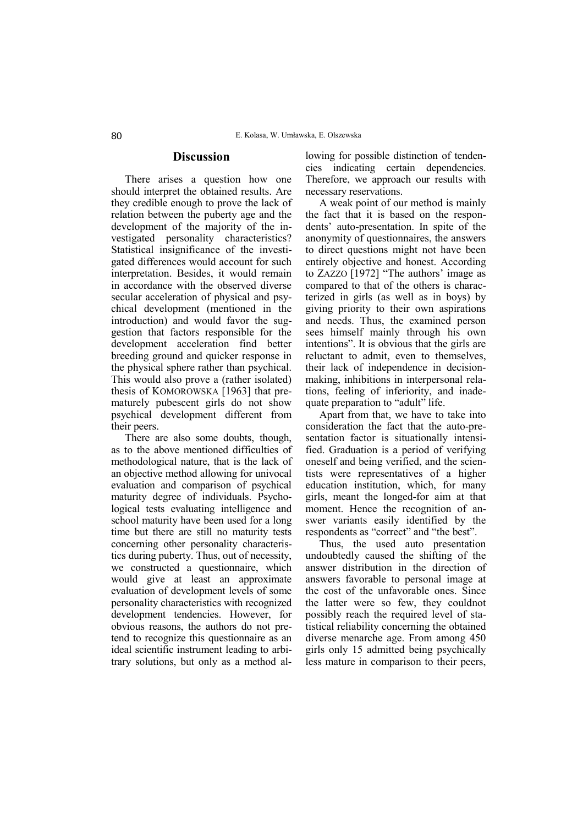### **Discussion**

There arises a question how one should interpret the obtained results. Are they credible enough to prove the lack of relation between the puberty age and the development of the majority of the investigated personality characteristics? Statistical insignificance of the investigated differences would account for such interpretation. Besides, it would remain in accordance with the observed diverse secular acceleration of physical and psychical development (mentioned in the introduction) and would favor the suggestion that factors responsible for the development acceleration find better breeding ground and quicker response in the physical sphere rather than psychical. This would also prove a (rather isolated) thesis of KOMOROWSKA [1963] that prematurely pubescent girls do not show psychical development different from their peers.

There are also some doubts, though, as to the above mentioned difficulties of methodological nature, that is the lack of an objective method allowing for univocal evaluation and comparison of psychical maturity degree of individuals. Psychological tests evaluating intelligence and school maturity have been used for a long time but there are still no maturity tests concerning other personality characteristics during puberty. Thus, out of necessity, we constructed a questionnaire, which would give at least an approximate evaluation of development levels of some personality characteristics with recognized development tendencies. However, for obvious reasons, the authors do not pretend to recognize this questionnaire as an ideal scientific instrument leading to arbitrary solutions, but only as a method allowing for possible distinction of tendencies indicating certain dependencies. Therefore, we approach our results with necessary reservations.

A weak point of our method is mainly the fact that it is based on the respondents' auto-presentation. In spite of the anonymity of questionnaires, the answers to direct questions might not have been entirely objective and honest. According to ZAZZO  $[1972]$  "The authors' image as compared to that of the others is characterized in girls (as well as in boys) by giving priority to their own aspirations and needs. Thus, the examined person sees himself mainly through his own intentions". It is obvious that the girls are reluctant to admit, even to themselves, their lack of independence in decisionmaking, inhibitions in interpersonal relations, feeling of inferiority, and inadequate preparation to "adult" life.

Apart from that, we have to take into consideration the fact that the auto-presentation factor is situationally intensified. Graduation is a period of verifying oneself and being verified, and the scientists were representatives of a higher education institution, which, for many girls, meant the longed-for aim at that moment. Hence the recognition of answer variants easily identified by the respondents as "correct" and "the best".

Thus, the used auto presentation undoubtedly caused the shifting of the answer distribution in the direction of answers favorable to personal image at the cost of the unfavorable ones. Since the latter were so few, they couldnot possibly reach the required level of statistical reliability concerning the obtained diverse menarche age. From among 450 girls only 15 admitted being psychically less mature in comparison to their peers,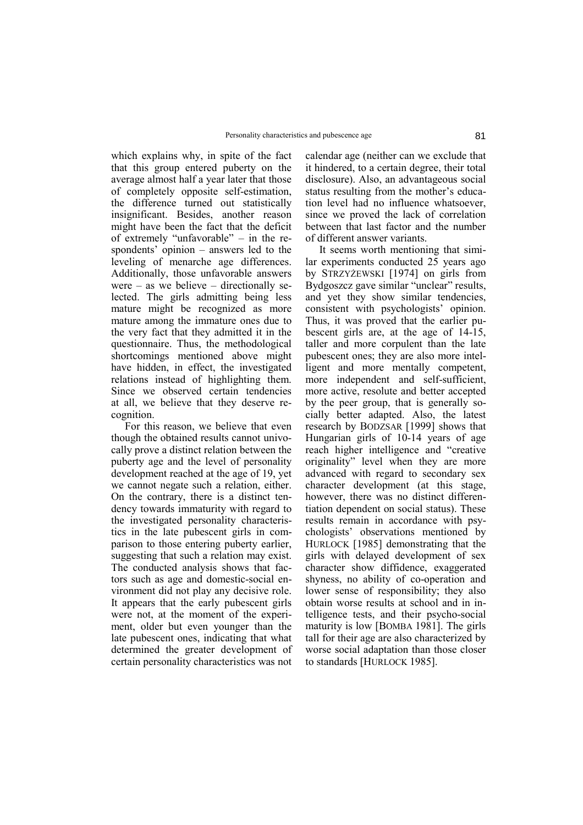which explains why, in spite of the fact that this group entered puberty on the average almost half a year later that those of completely opposite self-estimation, the difference turned out statistically insignificant. Besides, another reason might have been the fact that the deficit of extremely "unfavorable"  $-$  in the respondents' opinion  $-$  answers led to the leveling of menarche age differences. Additionally, those unfavorable answers were  $-$  as we believe  $-$  directionally selected. The girls admitting being less mature might be recognized as more mature among the immature ones due to the very fact that they admitted it in the questionnaire. Thus, the methodological shortcomings mentioned above might have hidden, in effect, the investigated relations instead of highlighting them. Since we observed certain tendencies at all, we believe that they deserve recognition.

For this reason, we believe that even though the obtained results cannot univocally prove a distinct relation between the puberty age and the level of personality development reached at the age of 19, yet we cannot negate such a relation, either. On the contrary, there is a distinct tendency towards immaturity with regard to the investigated personality characteristics in the late pubescent girls in comparison to those entering puberty earlier, suggesting that such a relation may exist. The conducted analysis shows that factors such as age and domestic-social environment did not play any decisive role. It appears that the early pubescent girls were not, at the moment of the experiment, older but even younger than the late pubescent ones, indicating that what determined the greater development of certain personality characteristics was not calendar age (neither can we exclude that it hindered, to a certain degree, their total disclosure). Also, an advantageous social status resulting from the mother's education level had no influence whatsoever, since we proved the lack of correlation between that last factor and the number of different answer variants.

It seems worth mentioning that similar experiments conducted 25 years ago by STRZYŻEWSKI [1974] on girls from Bydgoszcz gave similar "unclear" results, and yet they show similar tendencies, consistent with psychologists' opinion. Thus, it was proved that the earlier pubescent girls are, at the age of 14-15, taller and more corpulent than the late pubescent ones; they are also more intelligent and more mentally competent, more independent and self-sufficient, more active, resolute and better accepted by the peer group, that is generally socially better adapted. Also, the latest research by BODZSAR [1999] shows that Hungarian girls of 10-14 years of age reach higher intelligence and "creative" originality" level when they are more advanced with regard to secondary sex character development (at this stage, however, there was no distinct differentiation dependent on social status). These results remain in accordance with psychologists' observations mentioned by HURLOCK [1985] demonstrating that the girls with delayed development of sex character show diffidence, exaggerated shyness, no ability of co-operation and lower sense of responsibility; they also obtain worse results at school and in intelligence tests, and their psycho-social maturity is low [BOMBA 1981]. The girls tall for their age are also characterized by worse social adaptation than those closer to standards [HURLOCK 1985].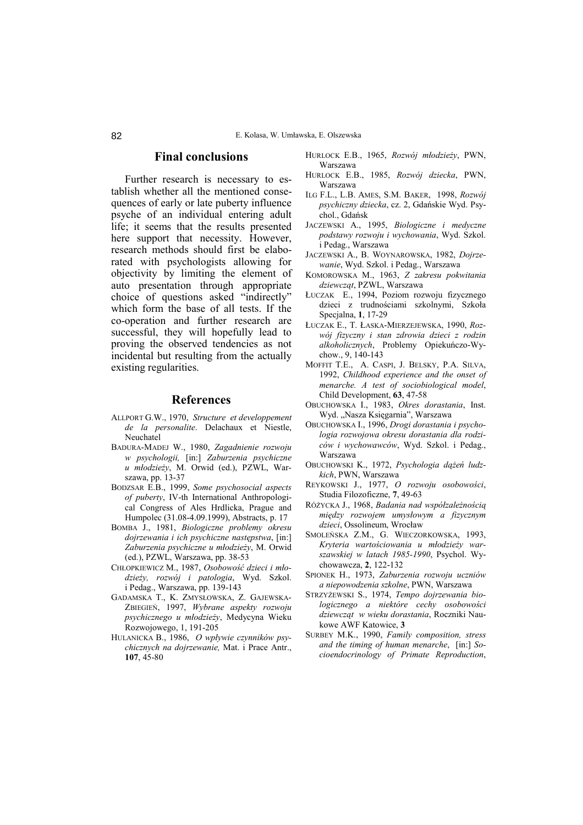#### **Final conclusions**

Further research is necessary to establish whether all the mentioned consequences of early or late puberty influence psyche of an individual entering adult life; it seems that the results presented here support that necessity. However, research methods should first be elaborated with psychologists allowing for objectivity by limiting the element of auto presentation through appropriate choice of questions asked "indirectly" which form the base of all tests. If the co-operation and further research are successful, they will hopefully lead to proving the observed tendencies as not incidental but resulting from the actually existing regularities.

#### **References**

- ALLPORT G.W., 1970, *Structure et developpement de la personalite*. Delachaux et Niestle, Neuchatel
- BADURA-MADEJ W., 1980, *Zagadnienie rozwoju w psychologii,* [in:] *Zaburzenia psychiczne u młodzieży*, M. Orwid (ed.), PZWL, Warszawa, pp. 13-37
- BODZSAR E.B., 1999, *Some psychosocial aspects of puberty*, IV-th International Anthropological Congress of Ales Hrdlicka, Prague and Humpolec (31.08-4.09.1999), Abstracts, p. 17
- BOMBA J., 1981, *Biologiczne problemy okresu dojrzewania i ich psychiczne następstwa*, [in:] *Zaburzenia psychiczne u młodzieży*, M. Orwid (ed.), PZWL, Warszawa, pp. 38-53
- CHŁOPKIEWICZ M., 1987, *Osobowość dzieci i młodzieży, rozwÛj i patologia*, Wyd. Szkol. i Pedag., Warszawa, pp. 139-143
- GADAMSKA T., K. ZMYSŁOWSKA, Z. GAJEWSKA-ZBIEGIEŃ, 1997, *Wybrane aspekty rozwoju psychicznego u młodzieży*, Medycyna Wieku Rozwojowego, 1, 191-205
- HULANICKA B., 1986, O wpływie czynników psy*chicznych na dojrzewanie,* Mat. i Prace Antr., **107**, 45-80
- HURLOCK E.B., 1965, *Rozwój młodzieży*, PWN, Warszawa
- HURLOCK E.B., 1985, Rozwój dziecka, PWN, Warszawa
- ILG F.L., L.B. AMES, S.M. BAKER, 1998, *RozwÛj psychiczny dziecka*, cz. 2, Gdańskie Wyd. Psychol., Gdańsk
- JACZEWSKI A., 1995, *Biologiczne i medyczne podstawy rozwoju i wychowania*, Wyd. Szkol. i Pedag., Warszawa
- JACZEWSKI A., B. WOYNAROWSKA, 1982, *Dojrzewanie*, Wyd. Szkol. i Pedag., Warszawa
- KOMOROWSKA M., 1963, *Z zakresu pokwitania dziewcząt*, PZWL, Warszawa
- ŁUCZAK E., 1994, Poziom rozwoju fizycznego dzieci z trudnościami szkolnymi, Szkoła Specjalna, **1**, 17-29
- ŁUCZAK E., T. ŁASKA-MIERZEJEWSKA, 1990, *RozwÛj fizyczny i stan zdrowia dzieci z rodzin alkoholicznych*, Problemy Opiekuńczo-Wychow., 9, 140-143
- MOFFIT T.E., A. CASPI, J. BELSKY, P.A. SILVA, 1992, *Childhood experience and the onset of menarche. A test of sociobiological model*, Child Development, **63**, 47-58
- OBUCHOWSKA I., 1983, *Okres dorastania*, Inst. Wyd. "Nasza Księgarnia", Warszawa
- OBUCHOWSKA I., 1996, *Drogi dorastania i psychologia rozwojowa okresu dorastania dla rodzicÛw i wychowawcÛw*, Wyd. Szkol. i Pedag., Warszawa
- OBUCHOWSKI K., 1972, *Psychologia dążeń ludzkich*, PWN, Warszawa
- REYKOWSKI J., 1977, *O rozwoju osobowości*, Studia Filozoficzne, **7**, 49-63
- R"ŻYCKA J., 1968, *Badania nad wspÛłzależnością między rozwojem umysłowym a fizycznym dzieci*, Ossolineum, Wrocław
- SMOLEŃSKA Z.M., G. WIECZORKOWSKA, 1993, *Kryteria wartościowania u młodzieży warszawskiej w latach 1985-1990*, Psychol. Wychowawcza, **2**, 122-132
- SPIONEK H., 1973, *Zaburzenia rozwoju uczniów a niepowodzenia szkolne*, PWN, Warszawa
- STRZYŻEWSKI S., 1974, *Tempo dojrzewania biologicznego a niektÛre cechy osobowości dziewcząt w wieku dorastania*, Roczniki Naukowe AWF Katowice, **3**
- SURBEY M.K., 1990, *Family composition, stress and the timing of human menarche*, [in:] *Socioendocrinology of Primate Reproduction*,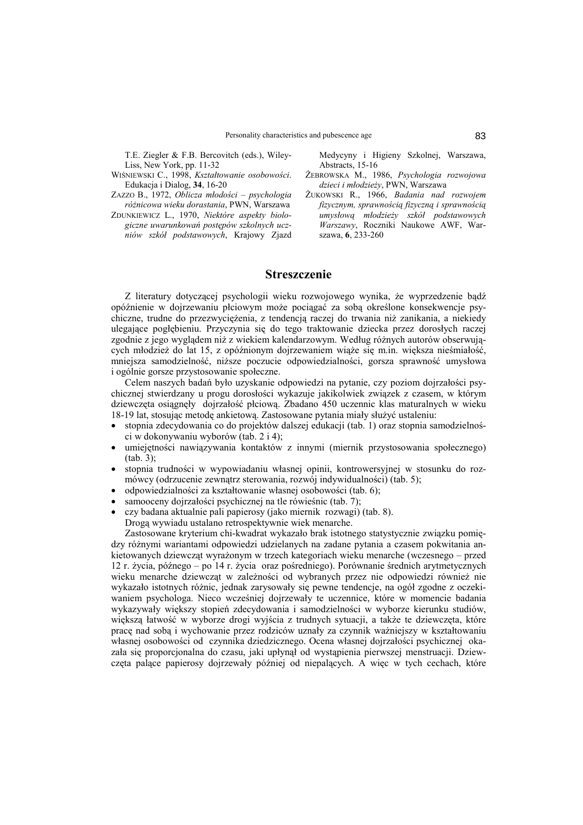T.E. Ziegler & F.B. Bercovitch (eds.), Wiley-Liss, New York, pp. 11-32

WIŚNIEWSKI C., 1998, *Kształtowanie osobowości*. Edukacja i Dialog, **34**, 16-20

ZAZZO B., 1972, *Oblicza młodości ñ psychologia rÛżnicowa wieku dorastania*, PWN, Warszawa

ZDUNKIEWICZ L., 1970, *Niektóre aspekty biologiczne uwarunkowań postępÛw szkolnych uczniÛw szkÛł podstawowych*, Krajowy Zjazd Medycyny i Higieny Szkolnej, Warszawa, Abstracts, 15-16

- ŻEBROWSKA M., 1986, *Psychologia rozwojowa dzieci i młodzieży*, PWN, Warszawa
- ŻUKOWSKI R., 1966, *Badania nad rozwojem fizycznym, sprawnością fizyczną i sprawnością umysłową młodzieży szkÛł podstawowych Warszawy*, Roczniki Naukowe AWF, Warszawa, **6**, 233-260

### **Streszczenie**

Z literatury dotyczącej psychologii wieku rozwojowego wynika, że wyprzedzenie bądź opÛźnienie w dojrzewaniu płciowym może pociągać za sobą określone konsekwencje psychiczne, trudne do przezwyciężenia, z tendencją raczej do trwania niż zanikania, a niekiedy ulegające pogłębieniu. Przyczynia się do tego traktowanie dziecka przez dorosłych raczej zgodnie z jego wyglądem niż z wiekiem kalendarzowym. Według różnych autorów obserwujących młodzież do lat 15, z opóźnionym dojrzewaniem wiąże się m.in. większa nieśmiałość, mniejsza samodzielność, niższe poczucie odpowiedzialności, gorsza sprawność umysłowa i ogÛlnie gorsze przystosowanie społeczne.

Celem naszych badań było uzyskanie odpowiedzi na pytanie, czy poziom dojrzałości psychicznej stwierdzany u progu dorosłości wykazuje jakikolwiek związek z czasem, w którym dziewczęta osiągnęły dojrzałość płciową. Zbadano 450 uczennic klas maturalnych w wieku 18-19 lat, stosując metodę ankietową. Zastosowane pytania miały służyć ustaleniu:

- stopnia zdecydowania co do projektów dalszej edukacji (tab. 1) oraz stopnia samodzielności w dokonywaniu wyborów (tab.  $2 i 4$ );
- umiejętności nawiązywania kontaktów z innymi (miernik przystosowania społecznego) (tab. 3);
- stopnia trudności w wypowiadaniu własnej opinii, kontrowersyjnej w stosunku do rozmówcy (odrzucenie zewnątrz sterowania, rozwój indywidualności) (tab. 5);
- odpowiedzialności za kształtowanie własnej osobowości (tab. 6);
- samooceny dojrzałości psychicznej na tle rówieśnic (tab. 7);
- czy badana aktualnie pali papierosy (jako miernik rozwagi) (tab. 8). Drogą wywiadu ustalano retrospektywnie wiek menarche.

Zastosowane kryterium chi-kwadrat wykazało brak istotnego statystycznie związku pomiędzy rÛżnymi wariantami odpowiedzi udzielanych na zadane pytania a czasem pokwitania ankietowanych dziewcząt wyrażonym w trzech kategoriach wieku menarche (wczesnego – przed 12 r. życia, późnego – po 14 r. życia oraz pośredniego). Porównanie średnich arytmetycznych wieku menarche dziewcząt w zależności od wybranych przez nie odpowiedzi również nie wykazało istotnych różnic, jednak zarysowały się pewne tendencje, na ogół zgodne z oczekiwaniem psychologa. Nieco wcześniej dojrzewały te uczennice, które w momencie badania wykazywały większy stopień zdecydowania i samodzielności w wyborze kierunku studiów, większą łatwość w wyborze drogi wyjścia z trudnych sytuacji, a także te dziewczęta, które pracę nad sobą i wychowanie przez rodziców uznały za czynnik ważniejszy w kształtowaniu własnej osobowości od czynnika dziedzicznego. Ocena własnej dojrzałości psychicznej okazała się proporcjonalna do czasu, jaki upłynął od wystąpienia pierwszej menstruacji. Dziewczęta palące papierosy dojrzewały później od niepalących. A więc w tych cechach, które